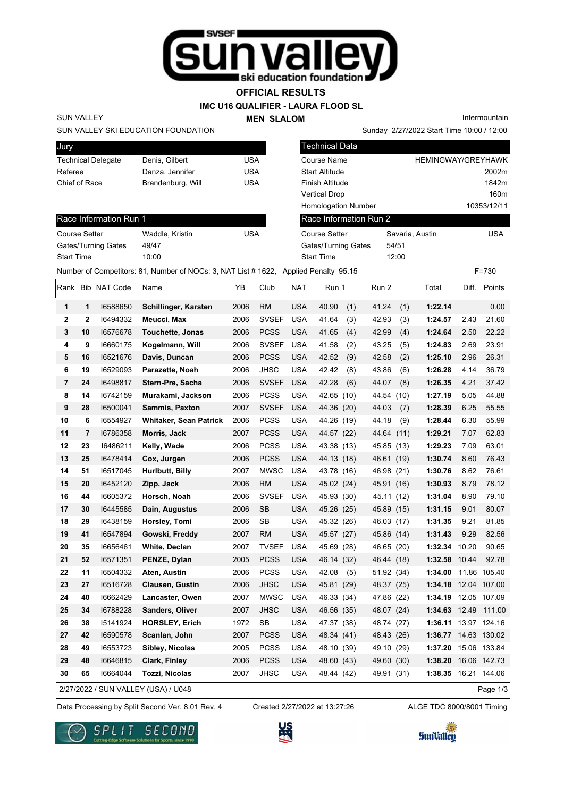

## **OFFICIAL RESULTS**

### **IMC U16 QUALIFIER - LAURA FLOOD SL**

**MEN SLALOM** 

Intermountain

### SUN VALLEY SKI EDUCATION FOUNDATION

| Jury                      |                   |     |
|---------------------------|-------------------|-----|
| <b>Technical Delegate</b> | Denis, Gilbert    | USA |
| Referee                   | Danza, Jennifer   | USA |
| Chief of Race             | Brandenburg, Will | USA |
|                           |                   |     |

|                           | SUN VALLEY SKI EDUCATION FOUNDATION                                                 |            |      |            |                            | Sunday 2/27/2022 Start Time 10:00 / 12:00 |                           |       |             |
|---------------------------|-------------------------------------------------------------------------------------|------------|------|------------|----------------------------|-------------------------------------------|---------------------------|-------|-------------|
| Jury                      |                                                                                     |            |      |            | <b>Technical Data</b>      |                                           |                           |       |             |
| <b>Technical Delegate</b> | Denis, Gilbert                                                                      | <b>USA</b> |      |            | <b>Course Name</b>         |                                           | <b>HEMINGWAY/GREYHAWK</b> |       |             |
| Referee                   | Danza, Jennifer                                                                     | <b>USA</b> |      |            | <b>Start Altitude</b>      |                                           |                           |       | 2002m       |
| Chief of Race             | Brandenburg, Will                                                                   | <b>USA</b> |      |            | Finish Altitude            |                                           |                           |       | 1842m       |
|                           |                                                                                     |            |      |            | <b>Vertical Drop</b>       |                                           |                           |       | 160m        |
|                           |                                                                                     |            |      |            | <b>Homologation Number</b> |                                           |                           |       | 10353/12/11 |
| Race Information Run 1    |                                                                                     |            |      |            | Race Information Run 2     |                                           |                           |       |             |
| <b>Course Setter</b>      | Waddle, Kristin                                                                     | <b>USA</b> |      |            | Course Setter              |                                           | Savaria, Austin           |       | <b>USA</b>  |
| Gates/Turning Gates       | 49/47                                                                               |            |      |            | Gates/Turning Gates        | 54/51                                     |                           |       |             |
| <b>Start Time</b>         | 10:00                                                                               |            |      |            | <b>Start Time</b>          | 12:00                                     |                           |       |             |
|                           | Number of Competitors: 81, Number of NOCs: 3, NAT List #1622, Applied Penalty 95.15 |            |      |            |                            |                                           |                           |       | $F = 730$   |
| Rank Bib NAT Code         | Name                                                                                | YΒ         | Club | <b>NAT</b> | Run 1                      | Run 2                                     | Total                     | Diff. | Points      |

SUN VALLEY

| Course Setter       | Waddle, Kristin | USA |
|---------------------|-----------------|-----|
| Gates/Turning Gates | 49/47           |     |
| <b>Start Time</b>   | 10:00           |     |

|                |                | Rank Bib NAT Code | Name                          | ΥB   | Club         | <b>NAT</b> | Run 1        | Run 2         | Total                |       | Diff. Points |
|----------------|----------------|-------------------|-------------------------------|------|--------------|------------|--------------|---------------|----------------------|-------|--------------|
| 1              | $\mathbf 1$    | 16588650          | Schillinger, Karsten          | 2006 | <b>RM</b>    | <b>USA</b> | 40.90<br>(1) | 41.24<br>(1)  | 1:22.14              |       | 0.00         |
| $\mathbf{2}$   | $\mathbf{2}$   | 16494332          | Meucci, Max                   | 2006 | <b>SVSEF</b> | <b>USA</b> | 41.64<br>(3) | 42.93<br>(3)  | 1:24.57              | 2.43  | 21.60        |
| 3              | 10             | 16576678          | <b>Touchette, Jonas</b>       | 2006 | <b>PCSS</b>  | <b>USA</b> | 41.65<br>(4) | 42.99<br>(4)  | 1:24.64              | 2.50  | 22.22        |
| 4              | 9              | 16660175          | Kogelmann, Will               | 2006 | <b>SVSEF</b> | <b>USA</b> | 41.58<br>(2) | 43.25<br>(5)  | 1:24.83              | 2.69  | 23.91        |
| 5              | 16             | 16521676          | Davis, Duncan                 | 2006 | <b>PCSS</b>  | <b>USA</b> | 42.52<br>(9) | 42.58<br>(2)  | 1:25.10              | 2.96  | 26.31        |
| 6              | 19             | 16529093          | Parazette, Noah               | 2006 | <b>JHSC</b>  | <b>USA</b> | 42.42<br>(8) | 43.86<br>(6)  | 1:26.28              | 4.14  | 36.79        |
| $\overline{7}$ | 24             | 16498817          | Stern-Pre, Sacha              | 2006 | <b>SVSEF</b> | <b>USA</b> | 42.28<br>(6) | 44.07<br>(8)  | 1:26.35              | 4.21  | 37.42        |
| 8              | 14             | 16742159          | Murakami, Jackson             | 2006 | <b>PCSS</b>  | <b>USA</b> | 42.65 (10)   | 44.54<br>(10) | 1:27.19              | 5.05  | 44.88        |
| 9              | 28             | 16500041          | Sammis, Paxton                | 2007 | <b>SVSEF</b> | <b>USA</b> | 44.36 (20)   | 44.03<br>(7)  | 1:28.39              | 6.25  | 55.55        |
| 10             | 6              | 16554927          | <b>Whitaker, Sean Patrick</b> | 2006 | <b>PCSS</b>  | <b>USA</b> | 44.26 (19)   | 44.18<br>(9)  | 1:28.44              | 6.30  | 55.99        |
| 11             | $\overline{7}$ | 16786358          | Morris, Jack                  | 2007 | <b>PCSS</b>  | <b>USA</b> | 44.57 (22)   | 44.64<br>(11) | 1:29.21              | 7.07  | 62.83        |
| 12             | 23             | 16486211          | Kelly, Wade                   | 2006 | <b>PCSS</b>  | <b>USA</b> | 43.38 (13)   | 45.85 (13)    | 1:29.23              | 7.09  | 63.01        |
| 13             | 25             | 16478414          | Cox, Jurgen                   | 2006 | <b>PCSS</b>  | <b>USA</b> | 44.13 (18)   | 46.61 (19)    | 1:30.74              | 8.60  | 76.43        |
| 14             | 51             | 16517045          | Hurlbutt, Billy               | 2007 | <b>MWSC</b>  | <b>USA</b> | 43.78 (16)   | 46.98 (21)    | 1:30.76              | 8.62  | 76.61        |
| 15             | 20             | 16452120          | Zipp, Jack                    | 2006 | <b>RM</b>    | <b>USA</b> | 45.02 (24)   | 45.91 (16)    | 1:30.93              | 8.79  | 78.12        |
| 16             | 44             | 16605372          | Horsch, Noah                  | 2006 | <b>SVSEF</b> | <b>USA</b> | 45.93 (30)   | 45.11 (12)    | 1:31.04              | 8.90  | 79.10        |
| 17             | 30             | 16445585          | Dain, Augustus                | 2006 | <b>SB</b>    | <b>USA</b> | 45.26 (25)   | 45.89 (15)    | 1:31.15              | 9.01  | 80.07        |
| 18             | 29             | 16438159          | Horsley, Tomi                 | 2006 | <b>SB</b>    | <b>USA</b> | 45.32 (26)   | 46.03 (17)    | 1:31.35              | 9.21  | 81.85        |
| 19             | 41             | 16547894          | Gowski, Freddy                | 2007 | <b>RM</b>    | <b>USA</b> | 45.57 (27)   | 45.86 (14)    | 1:31.43              | 9.29  | 82.56        |
| 20             | 35             | 16656461          | White, Declan                 | 2007 | <b>TVSEF</b> | <b>USA</b> | 45.69 (28)   | 46.65 (20)    | 1:32.34              | 10.20 | 90.65        |
| 21             | 52             | 16571351          | PENZE, Dylan                  | 2005 | <b>PCSS</b>  | <b>USA</b> | 46.14 (32)   | 46.44 (18)    | 1:32.58              | 10.44 | 92.78        |
| 22             | 11             | 16504332          | Aten, Austin                  | 2006 | <b>PCSS</b>  | <b>USA</b> | 42.08<br>(5) | 51.92 (34)    | 1:34.00              |       | 11.86 105.40 |
| 23             | 27             | 16516728          | <b>Clausen, Gustin</b>        | 2006 | <b>JHSC</b>  | <b>USA</b> | 45.81 (29)   | 48.37 (25)    | 1:34.18              | 12.04 | 107.00       |
| 24             | 40             | 16662429          | Lancaster, Owen               | 2007 | <b>MWSC</b>  | <b>USA</b> | 46.33 (34)   | 47.86 (22)    | 1:34.19              |       | 12.05 107.09 |
| 25             | 34             | 16788228          | <b>Sanders, Oliver</b>        | 2007 | <b>JHSC</b>  | <b>USA</b> | 46.56 (35)   | 48.07 (24)    | 1:34.63              | 12.49 | 111.00       |
| 26             | 38             | 15141924          | <b>HORSLEY, Erich</b>         | 1972 | <b>SB</b>    | <b>USA</b> | 47.37 (38)   | 48.74 (27)    | 1:36.11              |       | 13.97 124.16 |
| 27             | 42             | 16590578          | Scanlan, John                 | 2007 | <b>PCSS</b>  | <b>USA</b> | 48.34 (41)   | 48.43 (26)    | 1:36.77 14.63 130.02 |       |              |
| 28             | 49             | 16553723          | Sibley, Nicolas               | 2005 | <b>PCSS</b>  | <b>USA</b> | 48.10 (39)   | 49.10<br>(29) | 1:37.20              |       | 15.06 133.84 |
| 29             | 48             | 16646815          | Clark, Finley                 | 2006 | <b>PCSS</b>  | <b>USA</b> | 48.60 (43)   | 49.60 (30)    | 1:38.20              |       | 16.06 142.73 |
| 30             | 65             | 16664044          | Tozzi, Nicolas                | 2007 | <b>JHSC</b>  | <b>USA</b> | 48.44 (42)   | 49.91 (31)    | 1:38.35 16.21 144.06 |       |              |

2/27/2022 / SUN VALLEY (USA) / U048

Created 2/27/2022 at 13:27:26

Page 1/3





Data Processing by Split Second Ver. 8.01 Rev. 4 Created 2/27/2022 at 13:27:26 ALGE TDC 8000/8001 Timing





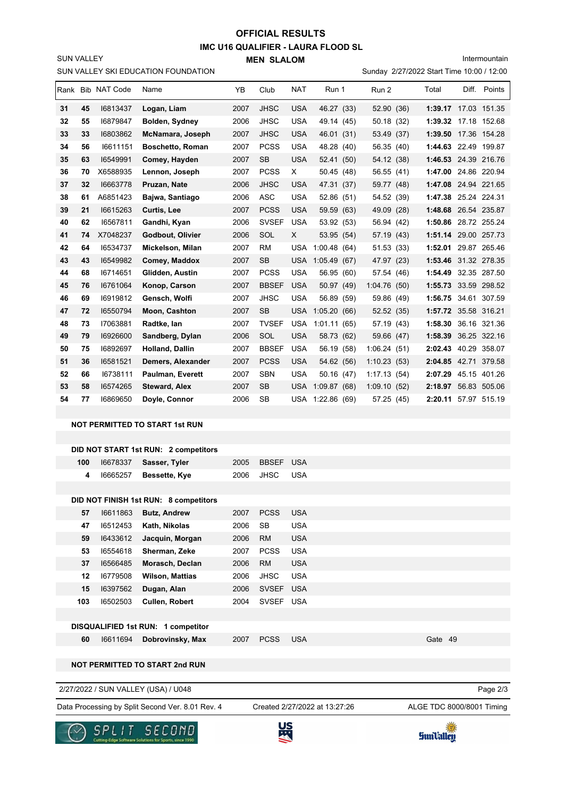# **OFFICIAL RESULTS**

**IMC U16 QUALIFIER - LAURA FLOOD SL MEN SLALOM** 

Intermountain

|    |     |                   | SUN VALLEY SKI EDUCATION FOUNDATION              |      |                               |            |                  |             | Sunday 2/27/2022 Start Time 10:00 / 12:00 |                      |
|----|-----|-------------------|--------------------------------------------------|------|-------------------------------|------------|------------------|-------------|-------------------------------------------|----------------------|
|    |     | Rank Bib NAT Code | Name                                             | YΒ   | Club                          | NAT        | Run 1            | Run 2       | Total                                     | Diff. Points         |
| 31 | 45  | 16813437          | Logan, Liam                                      | 2007 | <b>JHSC</b>                   | <b>USA</b> | 46.27 (33)       | 52.90 (36)  |                                           | 1:39.17 17.03 151.35 |
| 32 | 55  | 16879847          | Bolden, Sydney                                   | 2006 | JHSC                          | <b>USA</b> | 49.14 (45)       | 50.18 (32)  |                                           | 1:39.32 17.18 152.68 |
| 33 | 33  | 16803862          | McNamara, Joseph                                 | 2007 | JHSC                          | <b>USA</b> | 46.01 (31)       | 53.49 (37)  |                                           | 1:39.50 17.36 154.28 |
| 34 | 56  | 16611151          | <b>Boschetto, Roman</b>                          | 2007 | <b>PCSS</b>                   | <b>USA</b> | 48.28 (40)       | 56.35 (40)  |                                           | 1:44.63 22.49 199.87 |
| 35 | 63  | 16549991          | Comey, Hayden                                    | 2007 | SB                            | <b>USA</b> | 52.41 (50)       | 54.12 (38)  |                                           | 1:46.53 24.39 216.76 |
| 36 | 70  | X6588935          | Lennon, Joseph                                   | 2007 | <b>PCSS</b>                   | Χ          | 50.45 (48)       | 56.55 (41)  |                                           | 1:47.00 24.86 220.94 |
| 37 | 32  | 16663778          | Pruzan, Nate                                     | 2006 | <b>JHSC</b>                   | <b>USA</b> | 47.31 (37)       | 59.77 (48)  |                                           | 1:47.08 24.94 221.65 |
| 38 | 61  | A6851423          | Bajwa, Santiago                                  | 2006 | ASC                           | <b>USA</b> | 52.86 (51)       | 54.52 (39)  |                                           | 1:47.38 25.24 224.31 |
| 39 | 21  | 16615263          | Curtis, Lee                                      | 2007 | PCSS                          | <b>USA</b> | 59.59 (63)       | 49.09 (28)  |                                           | 1:48.68 26.54 235.87 |
| 40 | 62  | 16567811          | Gandhi, Kyan                                     | 2006 | <b>SVSEF</b>                  | <b>USA</b> | 53.92 (53)       | 56.94 (42)  |                                           | 1:50.86 28.72 255.24 |
| 41 | 74  | X7048237          | Godbout, Olivier                                 | 2006 | SOL                           | X.         | 53.95 (54)       | 57.19 (43)  |                                           | 1:51.14 29.00 257.73 |
| 42 | 64  | 16534737          | Mickelson, Milan                                 | 2007 | RM                            | <b>USA</b> | 1:00.48(64)      | 51.53 (33)  |                                           | 1:52.01 29.87 265.46 |
| 43 | 43  | 16549982          | Comey, Maddox                                    | 2007 | <b>SB</b>                     | USA        | 1:05.49(67)      | 47.97 (23)  |                                           | 1:53.46 31.32 278.35 |
| 44 | 68  | 16714651          | Glidden, Austin                                  | 2007 | <b>PCSS</b>                   | <b>USA</b> | 56.95 (60)       | 57.54 (46)  |                                           | 1:54.49 32.35 287.50 |
| 45 | 76  | 16761064          | Konop, Carson                                    | 2007 | <b>BBSEF</b>                  | <b>USA</b> | 50.97 (49)       | 1:04.76(50) |                                           | 1:55.73 33.59 298.52 |
| 46 | 69  | 16919812          | Gensch, Wolfi                                    | 2007 | JHSC                          | <b>USA</b> | 56.89 (59)       | 59.86 (49)  |                                           | 1:56.75 34.61 307.59 |
| 47 | 72  | 16550794          | Moon, Cashton                                    | 2007 | <b>SB</b>                     | USA        | 1:05.20(66)      | 52.52 (35)  |                                           | 1:57.72 35.58 316.21 |
| 48 | 73  | 17063881          | Radtke, Ian                                      | 2007 | <b>TVSEF</b>                  | <b>USA</b> | 1:01.11(65)      | 57.19 (43)  |                                           | 1:58.30 36.16 321.36 |
| 49 | 79  | 16926600          | Sandberg, Dylan                                  | 2006 | SOL                           | <b>USA</b> | 58.73 (62)       | 59.66 (47)  |                                           | 1:58.39 36.25 322.16 |
| 50 | 75  | 16892697          | <b>Holland, Dallin</b>                           | 2007 | <b>BBSEF</b>                  | <b>USA</b> | 56.19 (58)       | 1:06.24(51) |                                           | 2:02.43 40.29 358.07 |
| 51 | 36  | 16581521          | Demers, Alexander                                | 2007 | <b>PCSS</b>                   | USA        | 54.62 (56)       | 1:10.23(53) |                                           | 2:04.85 42.71 379.58 |
| 52 | 66  | 16738111          | Paulman, Everett                                 | 2007 | <b>SBN</b>                    | <b>USA</b> | 50.16 (47)       | 1:17.13(54) |                                           | 2:07.29 45.15 401.26 |
| 53 | 58  | 16574265          | <b>Steward, Alex</b>                             | 2007 | SB                            | <b>USA</b> | 1:09.87(68)      | 1:09.10(52) |                                           | 2:18.97 56.83 505.06 |
| 54 | 77  | 16869650          | Doyle, Connor                                    | 2006 | SB                            |            | USA 1:22.86 (69) | 57.25 (45)  |                                           | 2:20.11 57.97 515.19 |
|    |     |                   |                                                  |      |                               |            |                  |             |                                           |                      |
|    |     |                   | <b>NOT PERMITTED TO START 1st RUN</b>            |      |                               |            |                  |             |                                           |                      |
|    |     |                   |                                                  |      |                               |            |                  |             |                                           |                      |
|    |     |                   | DID NOT START 1st RUN: 2 competitors             |      |                               |            |                  |             |                                           |                      |
|    | 100 | 16678337          | Sasser, Tyler                                    | 2005 | <b>BBSEF</b>                  | <b>USA</b> |                  |             |                                           |                      |
|    | 4   | 16665257          | Bessette, Kye                                    | 2006 | JHSC                          | <b>USA</b> |                  |             |                                           |                      |
|    |     |                   | DID NOT FINISH 1st RUN: 8 competitors            |      |                               |            |                  |             |                                           |                      |
|    | 57  | 16611863          | <b>Butz, Andrew</b>                              | 2007 | <b>PCSS</b>                   | <b>USA</b> |                  |             |                                           |                      |
|    | 47  | 16512453          | Kath, Nikolas                                    | 2006 | SB                            | <b>USA</b> |                  |             |                                           |                      |
|    | 59  | 16433612          | Jacquin, Morgan                                  | 2006 | <b>RM</b>                     | <b>USA</b> |                  |             |                                           |                      |
|    | 53  | 16554618          | Sherman, Zeke                                    | 2007 | <b>PCSS</b>                   | <b>USA</b> |                  |             |                                           |                      |
|    | 37  | 16566485          | Morasch, Declan                                  | 2006 | <b>RM</b>                     | <b>USA</b> |                  |             |                                           |                      |
|    | 12  | 16779508          | <b>Wilson, Mattias</b>                           | 2006 | <b>JHSC</b>                   | <b>USA</b> |                  |             |                                           |                      |
|    | 15  | 16397562          | Dugan, Alan                                      | 2006 | SVSEF USA                     |            |                  |             |                                           |                      |
|    | 103 | 16502503          | Cullen, Robert                                   | 2004 | SVSEF USA                     |            |                  |             |                                           |                      |
|    |     |                   |                                                  |      |                               |            |                  |             |                                           |                      |
|    |     |                   | DISQUALIFIED 1st RUN: 1 competitor               |      |                               |            |                  |             |                                           |                      |
|    | 60  | 16611694          | Dobrovinsky, Max                                 | 2007 | <b>PCSS</b>                   | <b>USA</b> |                  |             | Gate 49                                   |                      |
|    |     |                   |                                                  |      |                               |            |                  |             |                                           |                      |
|    |     |                   | <b>NOT PERMITTED TO START 2nd RUN</b>            |      |                               |            |                  |             |                                           |                      |
|    |     |                   | 2/27/2022 / SUN VALLEY (USA) / U048              |      |                               |            |                  |             |                                           | Page 2/3             |
|    |     |                   | Data Processing by Split Second Ver. 8.01 Rev. 4 |      | Created 2/27/2022 at 13:27:26 |            |                  |             | ALGE TDC 8000/8001 Timing                 |                      |
|    |     |                   |                                                  |      |                               |            |                  |             |                                           |                      |



SUN VALLEY